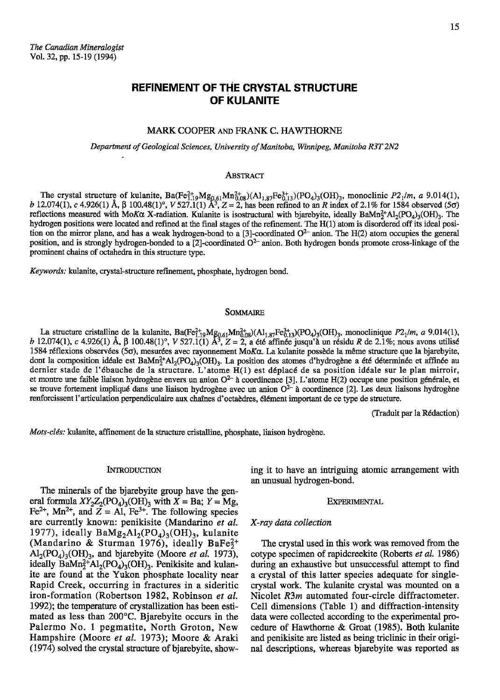# **REFINEMENT OF THE CRYSTAL STRUCTURE** OF KULANITE

# MARK COOPER AND FRANK C. HAWTHORNE

Department of Geological Sciences, University of Manitoba, Winnipeg, Manitoba R3T 2N2

# **ABSTRACT**

The crystal structure of kulanite,  $Ba(Fe_{1,9}^{2+}Mg_{0,61}Mn_{0.68}^{2+}) (Al_{1,87}Fe_{0.13}^{2+}) (PQ_4)_3 (OH)_{3}$ , monoclinic  $P2_1/m$ , a 9.014(1), b 12.074(1), c 4.926(1) Å,  $\beta$  100.48(1)°,  $V$  527.1(1) Å<sup>3</sup>,  $Z = 2$ , has been refine reflections measured with MoK $\alpha$ X-radiation. Kulanite is isostructural with bjarebyite, ideally BaMn<sup>2+</sup>Al<sub>2</sub>(PO<sub>4</sub>)<sub>3</sub>(OH)<sub>3</sub>. The hydrogen positions were located and refined at the final stages of the refinement. The H(1) atom is disordered off its ideal position on the mirror plane, and has a weak hydrogen-bond to a [3]-coordinated  $O<sup>2</sup>$  anion. The H(2) atom occupies the general position, and is strongly hydrogen-bonded to a [2]-coordinated  $O<sup>2-</sup>$  anion. Both hydrogen bonds promote cross-linkage of the prominent chains of octahedra in this structure type.

Keywords: kulanite, crystal-structure refinement, phosphate, hydrogen bond.

## **SOMMAIRE**

La structure cristalline de la kulanite, Ba(Fe<sup>2+</sup><sub>19</sub>Mg<sub>0.61</sub>Mn<sup>2</sup><sub>08</sub>)(Al<sub>1.87</sub>Fe<sup>3+</sup><sub>13</sub>)(PO<sub>4</sub>)<sub>3</sub>(OH)<sub>3</sub>, monoclinique *P*2<sub>1</sub>/m, a 9.014(1), b 12.074(1), c 4.926(1) Å,  $\beta$  100.48(1)°, *V* 527.1(1) Å<sup>3</sup>, *Z* = 2, a 1584 réflexions observées (50), mesurées avec rayonnement MoKo. La kulanite possède la même structure que la bjarebyite, dont la composition idéale est BaMn<sup>2+</sup>Al<sub>2</sub>(PO<sub>4</sub>)<sub>3</sub>(OH)<sub>3</sub>. La position des atomes d'hydrogène a été déterminée et affinée au dernier stade de l'ébauche de la structure. L'atome H(1) est déplacé de sa position idéale sur le plan mirroir, et montre une faible liaison hydrogène envers un anion  $O<sup>2-</sup>$  à coordinence [3]. L'atome H(2) occupe une position générale, et se trouve fortement impliqué dans une liaison hydrogène avec un anion  $O^{2-}$  à coordinence [2]. Les deux liaisons hydrogène renforcissent l'articulation perpendiculaire aux chaînes d'octaèdres, élément important de ce type de structure.

(Traduit par la Rédaction)

Mots-clés: kulanite, affinement de la structure cristalline, phosphate, liaison hydrogène.

#### **INTRODUCTION**

The minerals of the bjarebyite group have the general formula  $XY_2Z_2(PO_4)_3(OH)_3$  with  $X = Ba$ ;  $Y = Mg$ , Fe<sup>2+</sup>, Mn<sup>2+</sup>, and  $\overline{Z} =$  Al, Fe<sup>3+</sup>. The following species are currently known: penikisite (Mandarino et al. 1977), ideally  $BaMg<sub>2</sub>Al<sub>2</sub>(PO<sub>4</sub>)<sub>3</sub>(OH)<sub>3</sub>$ , kulanite (Mandarino & Sturman 1976), ideally BaFe<sup>2+</sup>  $\text{Al}_2(\text{PO}_4)_3(\text{OH})_3$ , and bjarebyite (Moore *et al.* 1973), ideally  $BaMn_7^2$ <sup>+</sup>Al<sub>2</sub>(PO<sub>4</sub>)<sub>3</sub>(OH)<sub>3</sub>. Penikisite and kulanite are found at the Yukon phosphate locality near Rapid Creek, occurring in fractures in a sideritic iron-formation (Robertson 1982, Robinson et al. 1992); the temperature of crystallization has been estimated as less than 200°C. Bjarebyite occurs in the Palermo No. 1 pegmatite, North Groton, New Hampshire (Moore et al. 1973); Moore & Araki (1974) solved the crystal structure of bjarebyite, showing it to have an intriguing atomic arrangement with an unusual hydrogen-bond.

### **EXPERIMENTAL**

### X-ray data collection

The crystal used in this work was removed from the cotype specimen of rapidcreekite (Roberts et al. 1986) during an exhaustive but unsuccessful attempt to find a crystal of this latter species adequate for singlecrystal work. The kulanite crystal was mounted on a Nicolet R3m automated four-circle diffractometer. Cell dimensions (Table 1) and diffraction-intensity data were collected according to the experimental procedure of Hawthorne & Groat (1985). Both kulanite and penikisite are listed as being triclinic in their original descriptions, whereas bjarebyite was reported as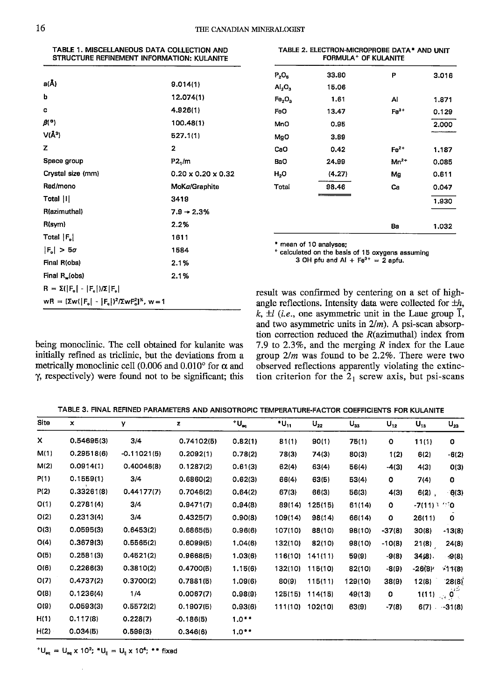| TABLE 1. MISCELLANEOUS DATA COLLECTION AND<br>STRUCTURE REFINEMENT INFORMATION: KULANITE |                                |  |  |  |  |  |
|------------------------------------------------------------------------------------------|--------------------------------|--|--|--|--|--|
| a(Å)                                                                                     |                                |  |  |  |  |  |
|                                                                                          | 9.014(1)                       |  |  |  |  |  |
| b                                                                                        | 12.074(1)                      |  |  |  |  |  |
| c                                                                                        | 4.926(1)                       |  |  |  |  |  |
| B(9)                                                                                     | 100.48(1)                      |  |  |  |  |  |
| $V(\AA^3)$                                                                               | 527.1(1)                       |  |  |  |  |  |
| z                                                                                        | 2                              |  |  |  |  |  |
| Space group                                                                              | P2,/m                          |  |  |  |  |  |
| Crystal size (mm)                                                                        | $0.20 \times 0.20 \times 0.32$ |  |  |  |  |  |
| Rad/mono                                                                                 | MoKa/Graphite                  |  |  |  |  |  |
| Total   I                                                                                | 3419                           |  |  |  |  |  |
| R(azimuthal)                                                                             | $7.9 \rightarrow 2.3\%$        |  |  |  |  |  |
| R(sym)                                                                                   | 2.2%                           |  |  |  |  |  |
| Total $ F_n $                                                                            | 1611                           |  |  |  |  |  |
| $ F_n  > 5\sigma$                                                                        | 1584                           |  |  |  |  |  |
| Final R(obs)                                                                             | 2.1%                           |  |  |  |  |  |
| Final R <sub>u</sub> (obs)                                                               | 2.1%                           |  |  |  |  |  |
| $R = \Sigma( F_{e}  -  F_{e} )/\Sigma F_{e} $                                            |                                |  |  |  |  |  |
| wR = $[\Sigma w/[F_n] - [F_n])^2/\Sigma w F_n^2]^2$ , w = 1                              |                                |  |  |  |  |  |

TABLE 2. ELECTRON-MICROPROBE DATA\* AND UNIT FORMULA<sup>+</sup> OF KULANITE

| $P_2O_5$                       | 33.80  | P         | 3.016 |
|--------------------------------|--------|-----------|-------|
| $\mathsf{Al}_2\mathsf{O}_3$    | 15.06  |           |       |
| Fe <sub>2</sub> O <sub>3</sub> | 1.61   | Al        | 1.871 |
| FeO                            | 13.47  | $Fe3+$    | 0.129 |
| MnO                            | 0.95   |           | 2.000 |
| MgO                            | 3.89   |           |       |
| CaO                            | 0.42   | $Fe2+$    | 1.187 |
| BaO                            | 24.99  | $Mn^{2+}$ | 0.085 |
| H,0                            | (4.27) | Mg        | 0.611 |
| Total                          | 98.46  | Cа        | 0.047 |
|                                |        |           | 1.930 |
|                                |        |           |       |
|                                |        | Ba        | 1.032 |

\* mean of 10 analyses;

+ calculated on the basis of 15 oxygens assuming 3 OH pfu and Al +  $Fe^{3+} = 2$  apfu.

being monoclinic. The cell obtained for kulanite was initially refined as triclinic, but the deviations from a metrically monoclinic cell (0.006 and 0.010 $^{\circ}$  for  $\alpha$  and γ, respectively) were found not to be significant; this result was confirmed by centering on a set of highangle reflections. Intensity data were collected for  $\pm h$ , k,  $\pm l$  (*i.e.*, one asymmetric unit in the Laue group  $\overline{1}$ , and two asymmetric units in  $2/m$ ). A psi-scan absorption correction reduced the  $R($ azimuthal) index from 7.9 to 2.3%, and the merging  $R$  index for the Laue group  $2/m$  was found to be 2.2%. There were two observed reflections apparently violating the extinction criterion for the  $2<sub>1</sub>$  screw axis, but psi-scans

| <b>Site</b> | ×          | y             | z           | $^+U_{\rm eq}$ | *U <sub>11</sub> | $\mathsf{U}_{22}$ | $\mathsf{U}_{\mathsf{33}}$ | $U_{12}$ | $U_{13}$                    | $U_{23}$       |
|-------------|------------|---------------|-------------|----------------|------------------|-------------------|----------------------------|----------|-----------------------------|----------------|
| x           | 0.54695(3) | 3/4           | 0.74102(5)  | 0.82(1)        | 81(1)            | 90(1)             | 75(1)                      | ٥        | 11(1)                       | 0              |
| M(1)        | 0.29518(6) | $-0.11021(5)$ | 0.2092(1)   | 0.78(2)        | 78(3)            | 74(3)             | 80(3)                      | 1(2)     | 6(2)                        | $-6(2)$        |
| M(2)        | 0.0914(1)  | 0.40046(8)    | 0.1287(2)   | 0.61(3)        | 62(4)            | 63(4)             | 56(4)                      | $-4(3)$  | 4(3)                        | O(3)           |
| P(1)        | 0.1559(1)  | 3/4           | 0.6860(2)   | 0.62(3)        | 66(4)            | 63(5)             | 53(4)                      | 0        | 7(4)                        | O              |
| P(2)        | 0.33261(8) | 0.44177(7)    | 0.7046(2)   | 0.64(2)        | 67(3)            | 66(3)             | 56(3)                      | 4(3)     | $6(2)$ ,                    | 6(3)           |
| O(1)        | 0.2781(4)  | 3/4           | 0.9471(7)   | 0.94(8)        | 89(14)           | 125(15)           | 61(14)                     | 0        | $-7(11)$ $^{\dagger}$       | ాం             |
| O(2)        | 0.2313(4)  | 3/4           | 0.4325(7)   | 0.90(8)        | 109(14)          | 98(14)            | 66(14)                     | o        | 26(11)                      | ٥              |
| O(3)        | 0.0595(3)  | 0.6453(2)     | 0.6865(5)   | 0.96(6)        | 107(10)          | 88(10)            | 98(10)                     | $-37(8)$ | 30(8)                       | $-13(8)$       |
| O(4)        | 0.3679(3)  | 0.5565(2)     | 0.6099(5)   | 1.04(6)        | 132(10)          | 82(10)            | 98(10)                     | $-10(8)$ | 21(8)                       | 24(8)          |
| O(5)        | 0.2581(3)  | 0.4521(2)     | 0.9668(5)   | 1.03(6)        | 116(10)          | 141(11)           | 59(9)                      | $-9(8)$  | $34(8)$ .                   | $-9(8)$        |
| O(6)        | 0.2266(3)  | 0.3810(2)     | 0.4700(5)   | 1.15(6)        | 132(10)          | 115(10)           | 82(10)                     | $-8(9)$  | -26(8)                      | (11(8)         |
| O(7)        | 0.4737(2)  | 0.3700(2)     | 0.7881(5)   | 1.09(6)        | 80(9)            | 115(11)           | 129(10)                    | 38(9)    | 12(8)                       | 28(8)          |
| O(8)        | 0.1236(4)  | 1/4           | 0.0067(7)   | 0.98(9)        | 125(15)          | 114(15)           | 49(13)                     | 0        | $1(11)$ $\rightarrow$ $9$ . | تترود          |
| O(9)        | 0.0593(3)  | 0.5572(2)     | 0.1907(5)   | 0.93(6)        | 111(10)          | 102(10)           | 63(9)                      | $-7(8)$  |                             | $6(7) - 31(8)$ |
| H(1)        | 0.117(8)   | 0.228(7)      | $-0.186(5)$ | $1.0**$        |                  |                   |                            |          |                             |                |
| H(2)        | 0.034(5)   | 0.599(3)      | 0.346(6)    | $1.0**$        |                  |                   |                            |          |                             |                |

 $^+U_{eq} = U_{eq} \times 10^2$ ;  $^*U_{\parallel} = U_{\parallel} \times 10^4$ ; \*\* fixed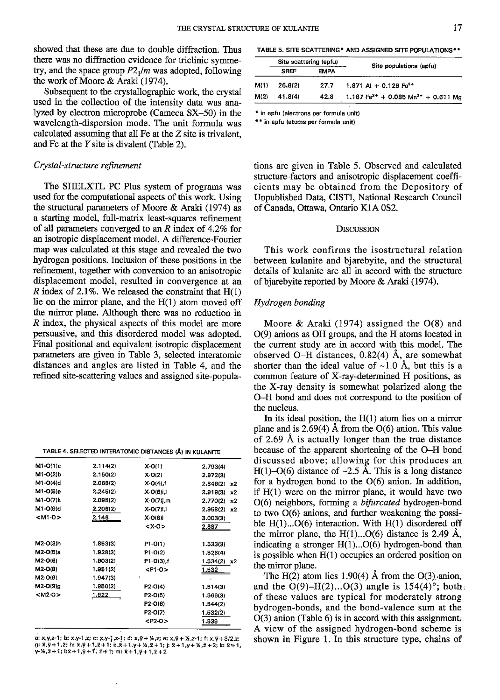showed that these are due to double diffraction. Thus there was no diffraction evidence for triclinic symmetry, and the space group  $P2_1/m$  was adopted, following the work of Moore & Araki (1974).

Subsequent to the crystallographic work, the crystal used in the collection of the intensity data was analyzed by electron microprobe (Cameca SX-50) in the wavelength-dispersion mode. The unit formula was calculated assuming that all  $Fe$  at the  $Z$  site is trivalent, and Fe at the  $Y$  site is divalent (Table 2).

# Crystal-structure refinement

The SHELXTL PC Plus system of programs was used for the computational aspects of this work. Using the structural parameters of Moore  $\&$  Araki (1974) as a starting model, full-matrix least-squares refinement of all parameters converged to an  $R$  index of 4.2% for an isotropic displacement model. A difference-Fourier map was calculated at this stage and revealed the two hydrogen positions. Inclusion of these positions in the refinement, together with conversion to an anisotropic displacement model, resulted in convergence at an R index of 2.1%. We released the constraint that  $H(1)$ lie on the miror plane, and the H(l) atom moved off the mirror plane. Although there was no reduction in  $R$  index, the physical aspects of this model are more persuasive, and this disordered model was adopted. Final positional and equivalent isotropic displacement parameters are given in Table 3, selected interatomic distances and angles are listed in Table 4, and the refined site-scattering values and assigned site-popula-

|  | TABLE 4. SELECTED INTERATOMIC DISTANCES (Å) IN KULANITI |  |  |  |
|--|---------------------------------------------------------|--|--|--|
|--|---------------------------------------------------------|--|--|--|

| M1-O(1)c   | 2.114(2) | $X - O(1)$                | 2.793(4)       |
|------------|----------|---------------------------|----------------|
| M1-O(2)b   | 2.150(2) | X-0(2)                    | 2.972(3)       |
| M1-0(4)d   | 2.068(2) | $X-O(4)$ , f              | 2.846(2)<br>x2 |
| $M1-O(5)e$ | 2.245(2) | X-O(6)i,I                 | 2.919(3)<br>x2 |
| M1-O(7)k   | 2.095(2) | $X-O(7)$ <sub>i</sub> , m | 2.770(2)<br>х2 |
| M1-0(9)d   | 2.206(2) | X-0(7)i.l                 | 2.958(2)<br>x2 |
| $< M1 - O$ | 2.146    | X-0(8)I                   | 3.003(3)       |
|            |          | <x-0></x-0>               | 2.887          |
| M2-0(3)h   | 1.853(3) | P1-0(1)                   | 1.533(3)       |
| M2-O(5)a   | 1.928(3) | P1-0(2)                   | 1.526(4)       |
| M2-0(6)    | 1.903(2) | P1-O(3),f                 | 1.534(2)<br>x2 |
| M2-0(8)    | 1.951(2) | $<$ P1-0>                 | 1.532          |
| M2-O(9)    | 1.947(3) |                           |                |
| M2-0(9)g   | 1.950(2) | P2-O(4)                   | 1,514(3)       |
| $< M2 - 0$ | 1.922    | P2-O(5)                   | 1.566(3)       |
|            |          | P2-O(6)                   | 1.544(2)       |
|            |          | P2-O(7)                   | 1.532(2)       |
|            |          | $<$ P2-O $>$              | 1.539          |
|            |          |                           |                |

8: x,y,z-1; b: x,y-1,z; c: x,y-1,z-1; d: x,y+ ½,z; e: x,y+ ½,z-1; f: x,y+3/2,z;<br>g: x,y+1,z; h: x,y+1,z+1; ii.x+1.y+ ½,z+1; j: x+1.y+ ½,z+2; k: x+1,  $y-2, z+1$ ; l:x + 1, $y+1$ ,  $z+1$ ; m: x + 1, $y+1, z+2$ 

TABLE 5. SITE SCATTERING<sup>\*</sup> AND ASSIGNED SITE POPULATIONS<sup>\*\*</sup>

|      | Site scattering (epfu) |             | Site populations (apfu)                                    |  |  |  |
|------|------------------------|-------------|------------------------------------------------------------|--|--|--|
|      | <b>SREF</b>            | <b>EMPA</b> |                                                            |  |  |  |
| M(1) | 26.8(2)                | 27.7        | 1.871 Al + 0.129 $Fe3+$                                    |  |  |  |
| M(2) | 41.8(4)                | 42.8        | 1.187 Fe <sup>2+</sup> + 0.085 Mn <sup>2+</sup> + 0.611 Mg |  |  |  |

\* in epfu (electrons per formula unit)

\*\* in apfu (atoms per formula unit)

tions are given in Table 5. Observed and calculated structure-factors and anisotropic displacement coeffrcients may be obtained from the Depository of Unpublished Data, CISTI, National Research Council of Canada, Ottawa, Ontario K1A 0S2.

# **DISCUSSION**

This work confirms the isostructural relation between kulanite and bjarebyite, and the structural details of kulanite are all in accord with the structure of bjarebyite reported by Moore & Araki (1974).

# Hydrogen bonding

Moore & Araki (1974) assigned the O(8) and O(9) anions as OH groups, and the H atoms located in the current study are in accord with this model. The observed O-H distances,  $0.82(4)$  Å, are somewhat shorter than the ideal value of  $-1.0$  Å, but this is a common feature of X-ray-determined H positions, as the X-ray density is somewhat polarized along the O-H bond and does not correspond to the position of the nucleus.

In its ideal position, the  $H(1)$  atom lies on a mirror plane and is  $2.69(4)$  Å from the O(6) anion. This value of 2.69 A is actually longer than the true distance because of the apparent shortening of the G-H bond discussed above; allowing for this produces an H(1)-O(6) distance of  $\sim$ 2.5 Å. This is a long distance for a hydrogen bond to the  $O(6)$  anion. In addition, if H(1) were on the mirror plane, it would have two 0(6) neighbors, forming a bifurcated hydrogen-bond to two 0(6) anions, and further weakening the possible  $H(1)...O(6)$  interaction. With  $H(1)$  disordered off the mirror plane, the  $H(1)...O(6)$  distance is 2.49 Å, indicating a stronger  $H(1)...O(6)$  hydrogen-bond than is possible when H(1) occupies an ordered position on the mirror plane.

The  $H(2)$  atom lies 1.90(4) Å from the O(3) anion, and the  $O(9)$ -H $(2)$ ... $O(3)$  angle is 154 $(4)$ °; both: of these values are typical for moderately strong hydrogen-bonds, and the bond-valence sum at the  $O(3)$  anion (Table 6) is in accord with this assignment. A view of the assigned hydrogen-bond scheme is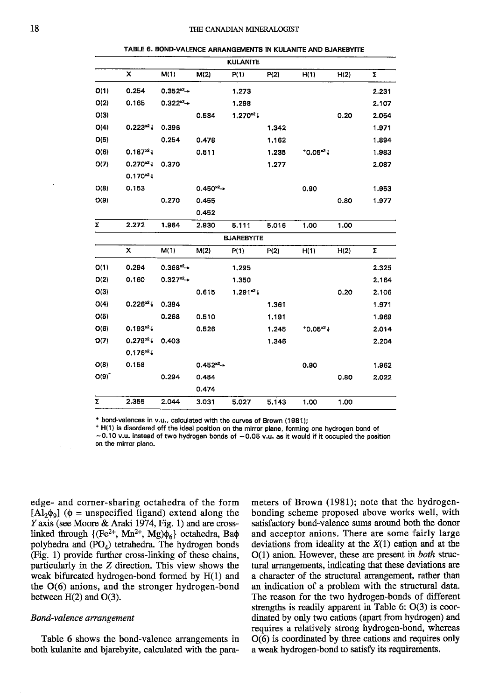TABLE 6. BOND-VALENCE ARRANGEMENTS IN KULANITE AND BJAREBYITE

| <b>KULANITE</b> |                           |              |              |                   |       |              |      |       |
|-----------------|---------------------------|--------------|--------------|-------------------|-------|--------------|------|-------|
|                 | x                         | M(1)         | M(2)         | P(1)              | P(2)  | H(1)         | H(2) | Σ     |
| O(1)            | 0.254                     | $0.352^{2}$  |              | 1.273             |       |              |      | 2.231 |
| O(2)            | 0.165                     | $0.322^{2}$  |              | 1.298             |       |              |      | 2.107 |
| O(3)            |                           |              | 0.584        | $1.270^{24}$      |       |              | 0.20 | 2.054 |
| O(4)            | $0.223^{*2}$              | 0.396        |              |                   | 1.342 |              |      | 1.971 |
| O(5)            |                           | 0.254        | 0.478        |                   | 1.162 |              |      | 1.894 |
| O(6)            | $0.187^{2}$               |              | 0.511        |                   | 1.235 | $*0.05*24$   |      | 1.983 |
| O(7)            | $0.270^{24}$              | 0.370        |              |                   | 1.277 |              |      | 2.087 |
|                 | $0.170^{24}$              |              |              |                   |       |              |      |       |
| O(8)            | 0.153                     |              | $0.450^{2}$  |                   |       | 0.90         |      | 1.953 |
| O(9)            |                           | 0.270        | 0.455        |                   |       |              | 0.80 | 1.977 |
|                 |                           |              | 0.452        |                   |       |              |      |       |
| Σ.              | 2.272                     | 1.964        | 2.930        | 5.111             | 5.016 | 1.00         | 1.00 |       |
|                 |                           |              |              | <b>BJAREBYITE</b> |       |              |      |       |
|                 | $\boldsymbol{\mathsf{x}}$ | M(1)         | M(2)         | P(1)              | P(2)  | H(1)         | H(2) | Σ     |
| O(1)            | 0.294                     | $0.368^{2}$  |              | 1.295             |       |              |      | 2.325 |
| O(2)            | 0.160                     | $0.327^{2}+$ |              | 1.350             |       |              |      | 2.164 |
| O(3)            |                           |              | 0.615        | $1.291^{*2}$      |       |              | 0.20 | 2.106 |
| O(4)            | $0.226^{2}$ +             | 0.384        |              |                   | 1.361 |              |      | 1.971 |
| O(5)            |                           | 0.268        | 0.510        |                   | 1.191 |              |      | 1.969 |
| O(6)            | $0.193^{*2}$              |              | 0.526        |                   | 1.245 | $+0.05^{24}$ |      | 2.014 |
| O(7)            | $0.279^{*2}$              | 0.403        |              |                   | 1.346 |              |      | 2.204 |
|                 | $0.176^{*2}$              |              |              |                   |       |              |      |       |
| O(8)            | 0.158                     |              | $0.452^{x2}$ |                   |       | 0.90         |      | 1.962 |
| O(9)            |                           | 0.294        | 0.454        |                   |       |              | 0.80 | 2.022 |
|                 |                           |              | 0.474        |                   |       |              |      |       |
| Σ               | 2.355                     | 2.044        | 3.031        | 5.027             | 5.143 | 1.00         | 1.00 |       |

\* bond-valences in v.u., calculated with the curves of Brown (1981);

\* H(1) is disordered off the ideal position on the mirror plane, forming one hydrogen bond of  $-0.10$  v.u. instead of two hydrogen bonds of  $-0.05$  v.u. as it would if it occupied the position on the mirror plane.

edge- and corner-sharing octahedra of the form  $[A]_2\phi_0$  ( $\phi$  = unspecified ligand) extend along the Y axis (see Moore & Araki 1974, Fig. 1) and are crosslinked through  $\{ (Fe^{2+}, Mn^{2+}, Mg)\phi_6 \}$  octahedra, Ba $\phi$ polyhedra and (PO<sub>4</sub>) tetrahedra. The hydrogen bonds (Fig. 1) provide further cross-linking of these chains, particularly in the Z direction. This view shows the weak bifurcated hydrogen-bond formed by H(1) and the  $O(6)$  anions, and the stronger hydrogen-bond between  $H(2)$  and  $O(3)$ .

#### Bond-valence arrangement

Table 6 shows the bond-valence arrangements in both kulanite and bjarebyite, calculated with the parameters of Brown (1981); note that the hydrogenbonding scheme proposed above works well, with satisfactory bond-valence sums around both the donor and acceptor anions. There are some fairly large deviations from ideality at the  $X(1)$  cation and at the  $O(1)$  anion. However, these are present in *both* structural arrangements, indicating that these deviations are a character of the structural arrangement, rather than an indication of a problem with the structural data. The reason for the two hydrogen-bonds of different strengths is readily apparent in Table 6: O(3) is coordinated by only two cations (apart from hydrogen) and requires a relatively strong hydrogen-bond, whereas  $O(6)$  is coordinated by three cations and requires only a weak hydrogen-bond to satisfy its requirements.